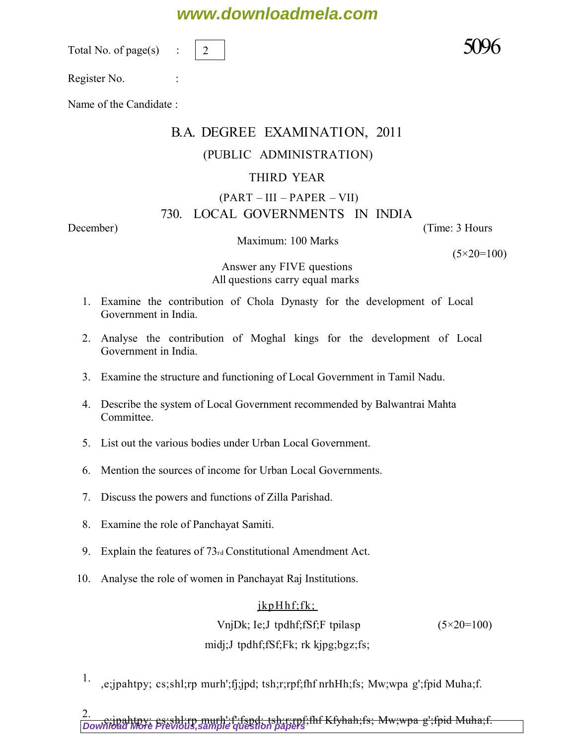## **www.downloadmela.com**

Total No. of page $(s)$ 

2

Register No. :

Name of the Candidate :

# B.A. DEGREE EXAMINATION, 2011

## (PUBLIC ADMINISTRATION)

## THIRD YEAR

#### $(PART - III - PAPER - VII)$ 730. LOCAL GOVERNMENTS IN INDIA

*December*) (*Time: 3 Hours*

Maximum: 100 Marks

*(5×20=100)*

*Answer any FIVE questions All questions carry equal marks* 

- 1. Examine the contribution of Chola Dynasty for the development of Local Government in India.
- 2. Analyse the contribution of Moghal kings for the development of Local Government in India.
- 3. Examine the structure and functioning of Local Government in Tamil Nadu.
- 4. Describe the system of Local Government recommended by Balwantrai Mahta Committee.
- 5. List out the various bodies under Urban Local Government.
- 6. Mention the sources of income for Urban Local Governments.
- 7. Discuss the powers and functions of Zilla Parishad.
- 8. Examine the role of Panchayat Samiti.
- 9. Explain the features of 73rd Constitutional Amendment Act.
- 10. Analyse the role of women in Panchayat Raj Institutions.

### $jkpHhf;fk;$

 VnjDk; Ie;J tpdhf;fSf;F tpilasp *(5×20=100)* midj;J tpdhf;fSf;Fk; rk kjpg;bgz;fs;

<sup>1.</sup> ,e;jpahtpy; cs;shl;rp murh';fj;jpd; tsh;r;rpf;fhf nrhHh;fs; Mw;wpa g';fpid Muha;f.

2.<br><u>[Download More Previous,sample question papers](http://downloadmela.com/pages/previouspapers/previouspapers.html)</u>;<br>Download More Previous,sample question papers;